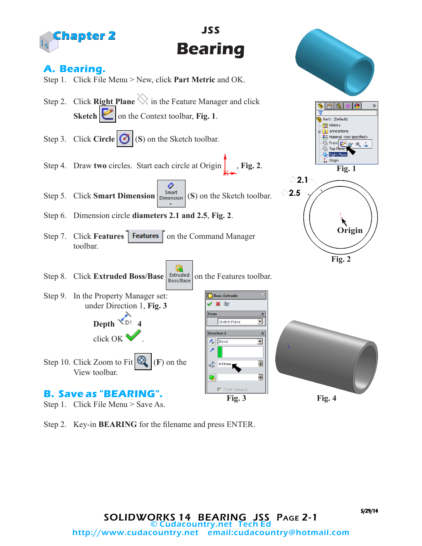

Step 2. Key-in **BEARING** for the filename and press ENTER.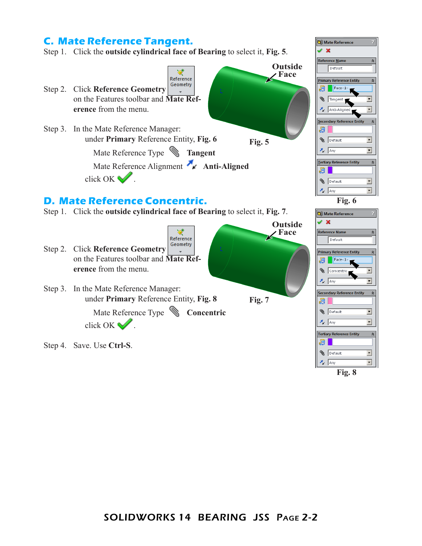## **C. Mate Reference Tangent.**

Step 1. Click the **outside cylindrical face of Bearing** to select it, **Fig. 5**.



**Fig. 8**

**D** Mate Reference  $\sqrt{8}$